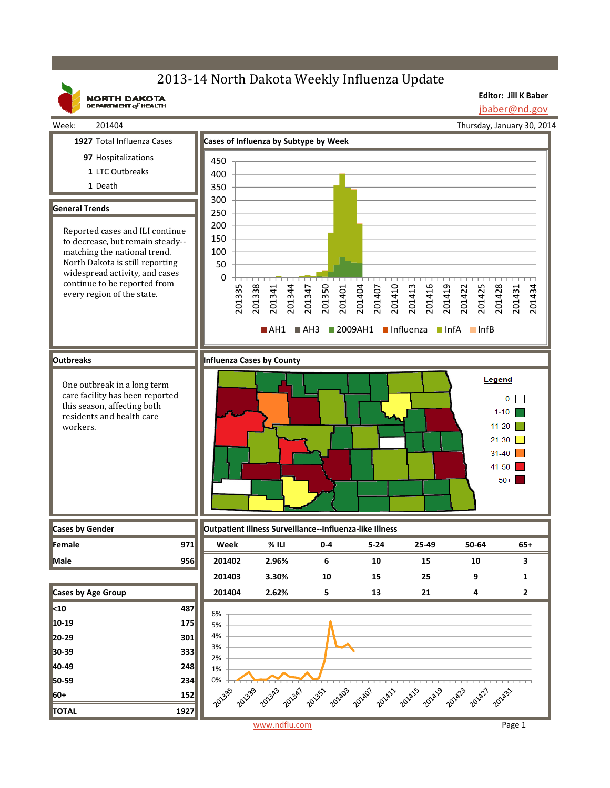## 2013-14 North Dakota Weekly Influenza Update

**NORTH DAKOTA**<br>DEPARTMENT of HEALTH

**Editor: Jill K Baber** jbaber@nd.gov